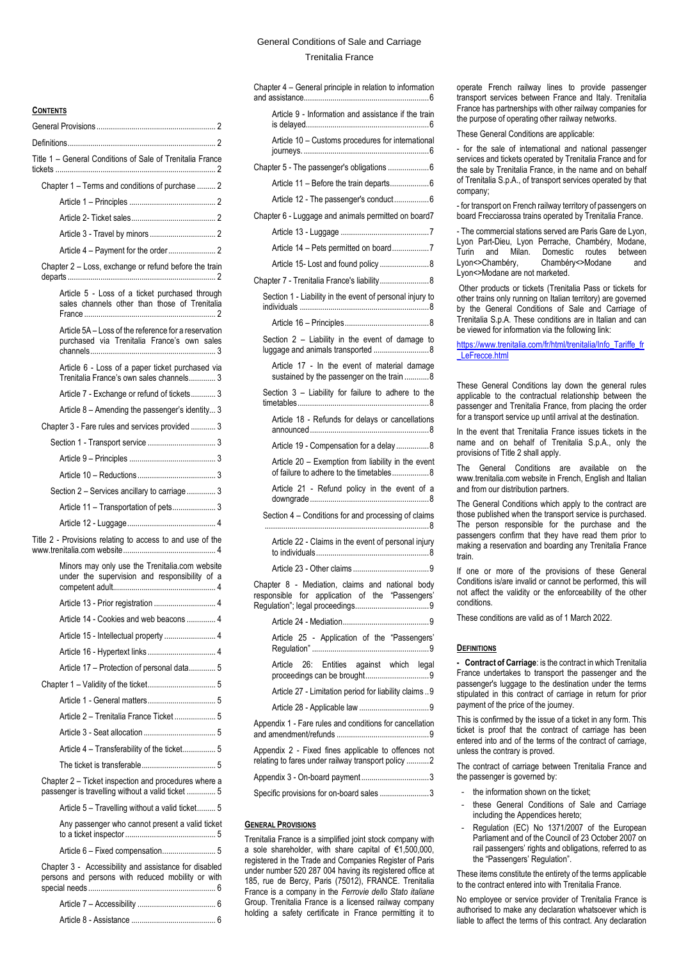# General Conditions of Sale and Carriage Trenitalia France

### **CONTENTS**

| <b>GUNIENIS</b>                                                                                            |  |  |
|------------------------------------------------------------------------------------------------------------|--|--|
|                                                                                                            |  |  |
|                                                                                                            |  |  |
| Title 1 – General Conditions of Sale of Trenitalia France                                                  |  |  |
| Chapter 1 - Terms and conditions of purchase  2                                                            |  |  |
|                                                                                                            |  |  |
|                                                                                                            |  |  |
|                                                                                                            |  |  |
|                                                                                                            |  |  |
| Chapter 2 - Loss, exchange or refund before the train                                                      |  |  |
| Article 5 - Loss of a ticket purchased through<br>sales channels other than those of Trenitalia            |  |  |
| Article 5A - Loss of the reference for a reservation<br>purchased via Trenitalia France's own sales        |  |  |
| Article 6 - Loss of a paper ticket purchased via<br>Trenitalia France's own sales channels 3               |  |  |
| Article 7 - Exchange or refund of tickets 3                                                                |  |  |
| Article 8 - Amending the passenger's identity 3                                                            |  |  |
| Chapter 3 - Fare rules and services provided  3                                                            |  |  |
|                                                                                                            |  |  |
|                                                                                                            |  |  |
|                                                                                                            |  |  |
| Section 2 - Services ancillary to carriage  3                                                              |  |  |
| Article 11 - Transportation of pets 3                                                                      |  |  |
|                                                                                                            |  |  |
| Title 2 - Provisions relating to access to and use of the                                                  |  |  |
| Minors may only use the Trenitalia.com website<br>under the supervision and responsibility of a            |  |  |
|                                                                                                            |  |  |
| Article 14 - Cookies and web beacons  4                                                                    |  |  |
|                                                                                                            |  |  |
| Article 16 - Hypertext links  4                                                                            |  |  |
| Article 17 - Protection of personal data 5                                                                 |  |  |
|                                                                                                            |  |  |
|                                                                                                            |  |  |
| Article 2 - Trenitalia France Ticket  5                                                                    |  |  |
|                                                                                                            |  |  |
| Article 4 - Transferability of the ticket 5                                                                |  |  |
|                                                                                                            |  |  |
| Chapter 2 – Ticket inspection and procedures where a<br>passenger is travelling without a valid ticket  5  |  |  |
| Article 5 - Travelling without a valid ticket 5                                                            |  |  |
| Any passenger who cannot present a valid ticket                                                            |  |  |
| Article 6 - Fixed compensation 5                                                                           |  |  |
| Chapter 3 - Accessibility and assistance for disabled<br>persons and persons with reduced mobility or with |  |  |

| Chapter 4 - General principle in relation to information                                                  |
|-----------------------------------------------------------------------------------------------------------|
| Article 9 - Information and assistance if the train                                                       |
| Article 10 - Customs procedures for international                                                         |
| Chapter 5 - The passenger's obligations  6                                                                |
| Article 11 - Before the train departs6                                                                    |
| Article 12 - The passenger's conduct6                                                                     |
| Chapter 6 - Luggage and animals permitted on board7                                                       |
|                                                                                                           |
| Article 14 - Pets permitted on board7                                                                     |
|                                                                                                           |
| Chapter 7 - Trenitalia France's liability 8                                                               |
| Section 1 - Liability in the event of personal injury to                                                  |
|                                                                                                           |
| Section 2 - Liability in the event of damage to                                                           |
| Article 17 - In the event of material damage<br>sustained by the passenger on the train 8                 |
| Section 3 - Liability for failure to adhere to the                                                        |
| Article 18 - Refunds for delays or cancellations                                                          |
| Article 19 - Compensation for a delay8                                                                    |
| Article 20 - Exemption from liability in the event<br>of failure to adhere to the timetables8             |
| Article 21 - Refund policy in the event of a                                                              |
| Section 4 - Conditions for and processing of claims                                                       |
| Article 22 - Claims in the event of personal injury                                                       |
|                                                                                                           |
| Chapter 8 - Mediation, claims and national body<br>responsible for application of the "Passengers"        |
|                                                                                                           |
| Article 25 - Application of the "Passengers'                                                              |
| Article 26: Entities against which legal                                                                  |
| Article 27 - Limitation period for liability claims  9                                                    |
|                                                                                                           |
| Appendix 1 - Fare rules and conditions for cancellation                                                   |
| Appendix 2 - Fixed fines applicable to offences not<br>relating to fares under railway transport policy 2 |
| Appendix 3 - On-board payment3                                                                            |
| Specific provisions for on-board sales 3                                                                  |
|                                                                                                           |

### <span id="page-0-0"></span>**GENERAL PROVISIONS**

Trenitalia France is a simplified joint stock company with a sole shareholder, with share capital of €1,500,000, registered in the Trade and Companies Register of Paris under number 520 287 004 having its registered office at 185, rue de Bercy, Paris (75012), FRANCE. Trenitalia France is a company in the *Ferrovie dello Stato italiane* Group. Trenitalia France is a licensed railway company holding a safety certificate in France permitting it to

operate French railway lines to provide passenger transport services between France and Italy. Trenitalia France has partnerships with other railway companies for the purpose of operating other railway networks.

These General Conditions are applicable:

- for the sale of international and national passenger services and tickets operated by Trenitalia France and for the sale by Trenitalia France, in the name and on behalf of Trenitalia S.p.A., of transport services operated by that company;

- for transport on French railway territory of passengers on board Frecciarossa trains operated by Trenitalia France.

- The commercial stations served are Paris Gare de Lyon, Lyon Part-Dieu, Lyon Perrache, Chambéry, Modane, Turin and Milan. Domestic routes between<br>Lyon<>Chambéry, Chambéry<>Modane and Chambéry<>Modane and Lyon<>Modane are not marketed.

Other products or tickets (Trenitalia Pass or tickets for other trains only running on Italian territory) are governed by the General Conditions of Sale and Carriage of Trenitalia S.p.A. These conditions are in Italian and can be viewed for information via the following link:

[https://www.trenitalia.com/fr/html/trenitalia/Info\\_Tariffe\\_fr](https://www.trenitalia.com/fr/html/trenitalia/Info_Tariffe_fr_LeFrecce.html) LeFrecce.html

These General Conditions lay down the general rules applicable to the contractual relationship between the passenger and Trenitalia France, from placing the order for a transport service up until arrival at the destination.

In the event that Trenitalia France issues tickets in the name and on behalf of Trenitalia S.p.A., only the provisions of Title 2 shall apply.

The General Conditions are available on the www.trenitalia.com website in French, English and Italian and from our distribution partners.

The General Conditions which apply to the contract are those published when the transport service is purchased. The person responsible for the purchase and the passengers confirm that they have read them prior to making a reservation and boarding any Trenitalia France train.

If one or more of the provisions of these General Conditions is/are invalid or cannot be performed, this will not affect the validity or the enforceability of the other conditions.

These conditions are valid as of 1 March 2022.

### <span id="page-0-1"></span>**DEFINITIONS**

**- Contract of Carriage**: is the contract in which Trenitalia France undertakes to transport the passenger and the passenger's luggage to the destination under the terms stipulated in this contract of carriage in return for prior payment of the price of the journey.

This is confirmed by the issue of a ticket in any form. This ticket is proof that the contract of carriage has been entered into and of the terms of the contract of carriage, unless the contrary is proved.

The contract of carriage between Trenitalia France and the passenger is governed by:

- the information shown on the ticket:
- these General Conditions of Sale and Carriage including the Appendices hereto;
- Regulation (EC) No 1371/2007 of the European Parliament and of the Council of 23 October 2007 on rail passengers' rights and obligations, referred to as the "Passengers' Regulation".

These items constitute the entirety of the terms applicable to the contract entered into with Trenitalia France.

No employee or service provider of Trenitalia France is authorised to make any declaration whatsoever which is liable to affect the terms of this contract. Any declaration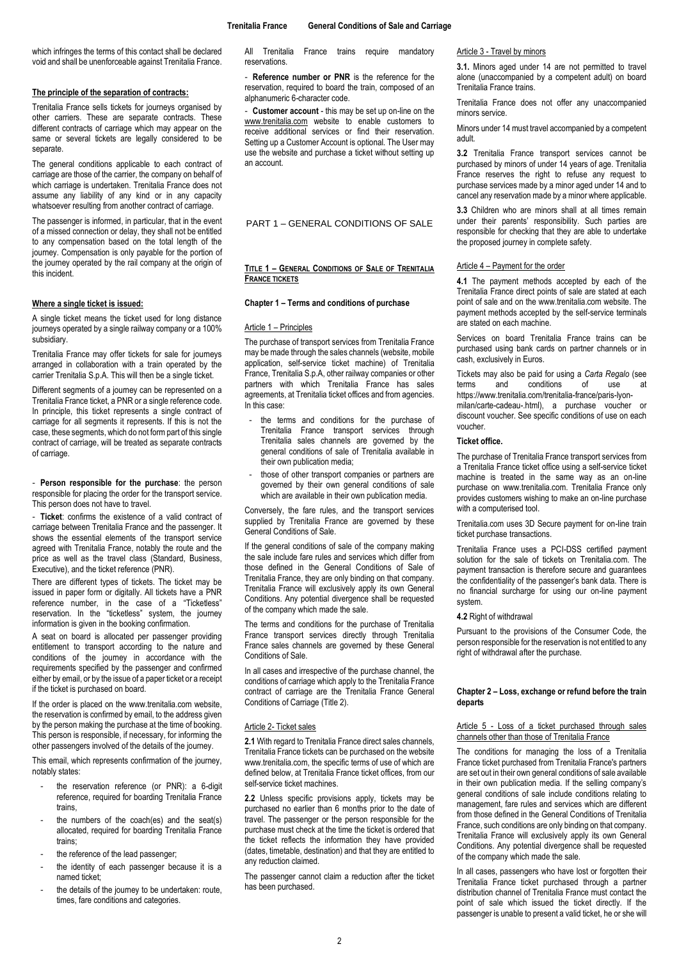which infringes the terms of this contact shall be declared void and shall be unenforceable against Trenitalia France.

### **The principle of the separation of contracts:**

Trenitalia France sells tickets for journeys organised by other carriers. These are separate contracts. These different contracts of carriage which may appear on the same or several tickets are legally considered to be separate

The general conditions applicable to each contract of carriage are those of the carrier, the company on behalf of which carriage is undertaken. Trenitalia France does not assume any liability of any kind or in any capacity whatsoever resulting from another contract of carriage.

The passenger is informed, in particular, that in the event of a missed connection or delay, they shall not be entitled to any compensation based on the total length of the journey. Compensation is only payable for the portion of the journey operated by the rail company at the origin of this incident.

### **Where a single ticket is issued:**

A single ticket means the ticket used for long distance journeys operated by a single railway company or a 100% subsidiary.

Trenitalia France may offer tickets for sale for journeys arranged in collaboration with a train operated by the carrier Trenitalia S.p.A. This will then be a single ticket.

Different segments of a journey can be represented on a Trenitalia France ticket, a PNR or a single reference code. In principle, this ticket represents a single contract of carriage for all segments it represents. If this is not the case, these segments, which do not form part of this single contract of carriage, will be treated as separate contracts of carriage.

- **Person responsible for the purchase**: the person responsible for placing the order for the transport service. This person does not have to travel.

- **Ticket**: confirms the existence of a valid contract of carriage between Trenitalia France and the passenger. It shows the essential elements of the transport service agreed with Trenitalia France, notably the route and the price as well as the travel class (Standard, Business, Executive), and the ticket reference (PNR).

There are different types of tickets. The ticket may be issued in paper form or digitally. All tickets have a PNR reference number, in the case of a "Ticketless" reservation. In the "ticketless" system, the journey information is given in the booking confirmation.

A seat on board is allocated per passenger providing entitlement to transport according to the nature and conditions of the journey in accordance with the requirements specified by the passenger and confirmed either by email, or by the issue of a paper ticket or a receipt if the ticket is purchased on board.

If the order is placed on the www.trenitalia.com website, the reservation is confirmed by email, to the address given by the person making the purchase at the time of booking. This person is responsible, if necessary, for informing the other passengers involved of the details of the journey.

This email, which represents confirmation of the journey, notably states:

- the reservation reference (or PNR): a 6-digit reference, required for boarding Trenitalia France trains,
- the numbers of the coach(es) and the seat(s) allocated, required for boarding Trenitalia France trains;
- the reference of the lead passenger;
- the identity of each passenger because it is a named ticket;
- the details of the journey to be undertaken: route, times, fare conditions and categories.

All Trenitalia France trains require mandatory reservations.

**Reference number or PNR** is the reference for the reservation, required to board the train, composed of an alphanumeric 6-character code.

- **Customer account** - this may be set up on-line on the [www.trenitalia.com](http://www.trenitalia.com/) website to enable customers to receive additional services or find their reservation. Setting up a Customer Account is optional. The User may use the website and purchase a ticket without setting up an account.

PART 1 – GENERAL CONDITIONS OF SALE

### <span id="page-1-0"></span>**TITLE 1 – GENERAL CONDITIONS OF SALE OF TRENITALIA FRANCE TICKETS**

#### <span id="page-1-1"></span>**Chapter 1 – Terms and conditions of purchase**

### <span id="page-1-2"></span>Article 1 – Principles

The purchase of transport services from Trenitalia France may be made through the sales channels (website, mobile application, self-service ticket machine) of Trenitalia France, Trenitalia S.p.A, other railway companies or other partners with which Trenitalia France has sales agreements, at Trenitalia ticket offices and from agencies. In this case:

- the terms and conditions for the purchase of Trenitalia France transport services through Trenitalia sales channels are governed by the general conditions of sale of Trenitalia available in their own publication media;
- those of other transport companies or partners are governed by their own general conditions of sale which are available in their own publication media.

Conversely, the fare rules, and the transport services supplied by Trenitalia France are governed by these General Conditions of Sale.

If the general conditions of sale of the company making the sale include fare rules and services which differ from those defined in the General Conditions of Sale of Trenitalia France, they are only binding on that company. Trenitalia France will exclusively apply its own General Conditions. Any potential divergence shall be requested of the company which made the sale.

The terms and conditions for the purchase of Trenitalia France transport services directly through Trenitalia France sales channels are governed by these General Conditions of Sale.

In all cases and irrespective of the purchase channel, the conditions of carriage which apply to the Trenitalia France contract of carriage are the Trenitalia France General Conditions of Carriage (Title 2).

### <span id="page-1-3"></span>Article 2- Ticket sales

**2.1** With regard to Trenitalia France direct sales channels, Trenitalia France tickets can be purchased on the website www.trenitalia.com, the specific terms of use of which are defined below, at Trenitalia France ticket offices, from our self-service ticket machines.

**2.2** Unless specific provisions apply, tickets may be purchased no earlier than 6 months prior to the date of travel. The passenger or the person responsible for the purchase must check at the time the ticket is ordered that the ticket reflects the information they have provided (dates, timetable, destination) and that they are entitled to any reduction claimed.

The passenger cannot claim a reduction after the ticket has been purchased.

<span id="page-1-4"></span>Article 3 - Travel by minors

**3.1.** Minors aged under 14 are not permitted to travel alone (unaccompanied by a competent adult) on board Trenitalia France trains.

Trenitalia France does not offer any unaccompanied minors service.

Minors under 14 must travel accompanied by a competent adult.

**3.2** Trenitalia France transport services cannot be purchased by minors of under 14 years of age. Trenitalia France reserves the right to refuse any request to purchase services made by a minor aged under 14 and to cancel any reservation made by a minor where applicable.

**3.3** Children who are minors shall at all times remain under their parents' responsibility. Such parties are responsible for checking that they are able to undertake the proposed journey in complete safety.

#### <span id="page-1-5"></span>Article 4 – Payment for the order

**4.1** The payment methods accepted by each of the Trenitalia France direct points of sale are stated at each point of sale and on the www.trenitalia.com website. The payment methods accepted by the self-service terminals are stated on each machine.

Services on board Trenitalia France trains can be purchased using bank cards on partner channels or in cash, exclusively in Euros.

Tickets may also be paid for using a *Carta Regalo* (see conditions https://www.trenitalia.com/trenitalia-france/paris-lyonmilan/carte-cadeau-.html), a purchase voucher or discount voucher. See specific conditions of use on each voucher.

## **Ticket office.**

The purchase of Trenitalia France transport services from a Trenitalia France ticket office using a self-service ticket machine is treated in the same way as an on-line purchase on www.trenitalia.com. Trenitalia France only provides customers wishing to make an on-line purchase with a computerised tool.

Trenitalia.com uses 3D Secure payment for on-line train ticket purchase transactions.

Trenitalia France uses a PCI-DSS certified payment solution for the sale of tickets on Trenitalia.com. The payment transaction is therefore secure and guarantees the confidentiality of the passenger's bank data. There is no financial surcharge for using our on-line payment system.

### **4.2** Right of withdrawal

Pursuant to the provisions of the Consumer Code, the person responsible for the reservation is not entitled to any right of withdrawal after the purchase.

## <span id="page-1-6"></span>**Chapter 2 – Loss, exchange or refund before the train departs**

### <span id="page-1-7"></span>Article 5 - Loss of a ticket purchased through sales channels other than those of Trenitalia France

The conditions for managing the loss of a Trenitalia France ticket purchased from Trenitalia France's partners are set out in their own general conditions of sale available in their own publication media. If the selling company's general conditions of sale include conditions relating to management, fare rules and services which are different from those defined in the General Conditions of Trenitalia France, such conditions are only binding on that company. Trenitalia France will exclusively apply its own General Conditions. Any potential divergence shall be requested of the company which made the sale.

In all cases, passengers who have lost or forgotten their Trenitalia France ticket purchased through a partner distribution channel of Trenitalia France must contact the point of sale which issued the ticket directly. If the passenger is unable to present a valid ticket, he or she will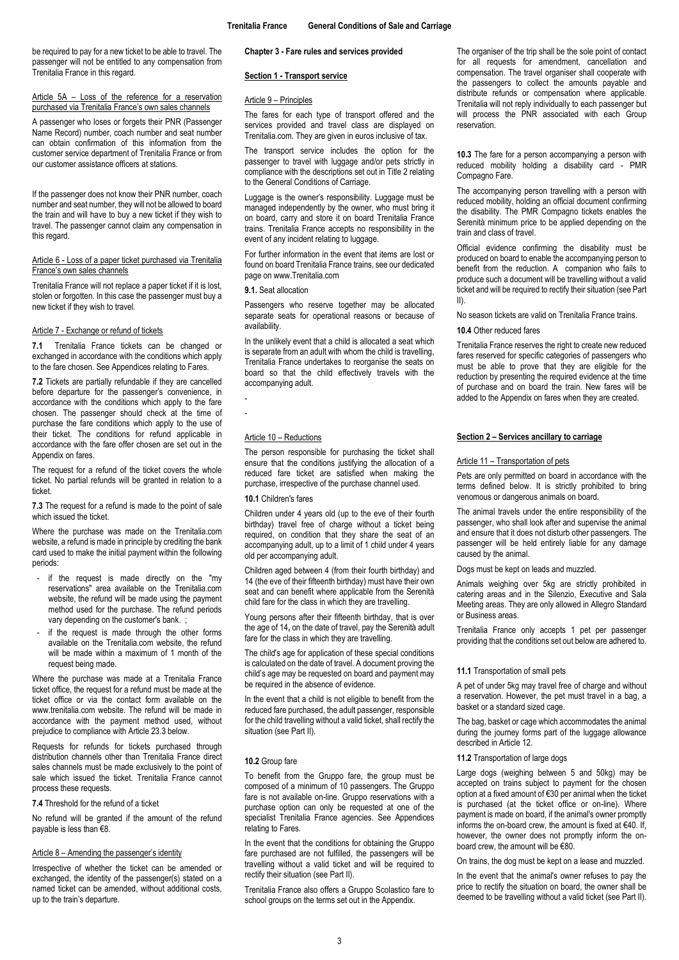be required to pay for a new ticket to be able to travel. The passenger will not be entitled to any compensation from Trenitalia France in this regard.

## <span id="page-2-0"></span>Article 5A – Loss of the reference for a reservation purchased via Trenitalia France's own sales channels

A passenger who loses or forgets their PNR (Passenger Name Record) number, coach number and seat number can obtain confirmation of this information from the customer service department of Trenitalia France or from our customer assistance officers at stations.

If the passenger does not know their PNR number, coach number and seat number, they will not be allowed to board the train and will have to buy a new ticket if they wish to travel. The passenger cannot claim any compensation in this regard.

### <span id="page-2-1"></span>Article 6 - Loss of a paper ticket purchased via Trenitalia France's own sales channels

Trenitalia France will not replace a paper ticket if it is lost, stolen or forgotten. In this case the passenger must buy a new ticket if they wish to travel.

## <span id="page-2-2"></span>Article 7 - Exchange or refund of tickets

**7.1** Trenitalia France tickets can be changed or exchanged in accordance with the conditions which apply to the fare chosen. See Appendices relating to Fares.

**7.2** Tickets are partially refundable if they are cancelled before departure for the passenger's convenience, in accordance with the conditions which apply to the fare chosen. The passenger should check at the time of purchase the fare conditions which apply to the use of their ticket. The conditions for refund applicable in accordance with the fare offer chosen are set out in the Appendix on fares.

The request for a refund of the ticket covers the whole ticket. No partial refunds will be granted in relation to a ticket.

**7.3** The request for a refund is made to the point of sale which issued the ticket.

Where the purchase was made on the Trenitalia.com website, a refund is made in principle by crediting the bank card used to make the initial payment within the following periods:

- if the request is made directly on the "my reservations" area available on the Trenitalia.com website, the refund will be made using the payment method used for the purchase. The refund periods vary depending on the customer's bank. ;
- if the request is made through the other forms available on the Trenitalia.com website, the refund will be made within a maximum of 1 month of the request being made.

Where the purchase was made at a Trenitalia France ticket office, the request for a refund must be made at the ticket office or via the contact form available on the www.trenitalia.com website. The refund will be made in accordance with the payment method used, without prejudice to compliance with Article 23.3 below.

Requests for refunds for tickets purchased through distribution channels other than Trenitalia France direct sales channels must be made exclusively to the point of sale which issued the ticket. Trenitalia France cannot process these requests.

**7.4** Threshold for the refund of a ticket

No refund will be granted if the amount of the refund payable is less than €8.

## <span id="page-2-3"></span>Article 8 – Amending the passenger's identity

Irrespective of whether the ticket can be amended or exchanged, the identity of the passenger(s) stated on a named ticket can be amended, without additional costs, up to the train's departure.

### <span id="page-2-4"></span>**Chapter 3 - Fare rules and services provided**

### <span id="page-2-5"></span>**Section 1 - Transport service**

## <span id="page-2-6"></span>Article 9 – Principles

The fares for each type of transport offered and the services provided and travel class are displayed on Trenitalia.com. They are given in euros inclusive of tax.

The transport service includes the option for the passenger to travel with luggage and/or pets strictly in compliance with the descriptions set out in Title 2 relating to the General Conditions of Carriage.

Luggage is the owner's responsibility. Luggage must be managed independently by the owner, who must bring it on board, carry and store it on board Trenitalia France trains. Trenitalia France accepts no responsibility in the event of any incident relating to luggage.

For further information in the event that items are lost or found on board Trenitalia France trains, see our dedicated page on www.Trenitalia.com

### **9.1.** Seat allocation

Passengers who reserve together may be allocated separate seats for operational reasons or because of availability.

In the unlikely event that a child is allocated a seat which is separate from an adult with whom the child is travelling, Trenitalia France undertakes to reorganise the seats on board so that the child effectively travels with the accompanying adult.

- -

### <span id="page-2-7"></span>Article 10 – Reductions

The person responsible for purchasing the ticket shall ensure that the conditions justifying the allocation of a reduced fare ticket are satisfied when making the purchase, irrespective of the purchase channel used.

## **10.1** Children's fares

Children under 4 years old (up to the eve of their fourth birthday) travel free of charge without a ticket being required, on condition that they share the seat of an accompanying adult, up to a limit of 1 child under 4 years old per accompanying adult.

Children aged between 4 (from their fourth birthday) and 14 (the eve of their fifteenth birthday) must have their own seat and can benefit where applicable from the Serenità child fare for the class in which they are travelling.

Young persons after their fifteenth birthday, that is over the age of 14**,** on the date of travel, pay the Serenità adult fare for the class in which they are travelling.

The child's age for application of these special conditions is calculated on the date of travel. A document proving the child's age may be requested on board and payment may be required in the absence of evidence.

In the event that a child is not eligible to benefit from the reduced fare purchased, the adult passenger, responsible for the child travelling without a valid ticket, shall rectify the situation (see Part II).

#### **10.2** Group fare

To benefit from the Gruppo fare, the group must be composed of a minimum of 10 passengers. The Gruppo fare is not available on-line. Gruppo reservations with a purchase option can only be requested at one of the specialist Trenitalia France agencies. See Appendices relating to Fares.

In the event that the conditions for obtaining the Gruppo fare purchased are not fulfilled, the passengers will be travelling without a valid ticket and will be required to rectify their situation (see Part II).

Trenitalia France also offers a Gruppo Scolastico fare to school groups on the terms set out in the Appendix.

The organiser of the trip shall be the sole point of contact for all requests for amendment, cancellation and compensation. The travel organiser shall cooperate with the passengers to collect the amounts payable and distribute refunds or compensation where applicable. Trenitalia will not reply individually to each passenger but will process the PNR associated with each Group reservation.

**10.3** The fare for a person accompanying a person with reduced mobility holding a disability card - PMR Compagno Fare.

The accompanying person travelling with a person with reduced mobility, holding an official document confirming the disability. The PMR Compagno tickets enables the Serenità minimum price to be applied depending on the train and class of travel.

Official evidence confirming the disability must be produced on board to enable the accompanying person to benefit from the reduction. A companion who fails to produce such a document will be travelling without a valid ticket and will be required to rectify their situation (see Part II).

No season tickets are valid on Trenitalia France trains.

## **10.4** Other reduced fares

Trenitalia France reserves the right to create new reduced fares reserved for specific categories of passengers who must be able to prove that they are eligible for the reduction by presenting the required evidence at the time of purchase and on board the train. New fares will be added to the Appendix on fares when they are created.

## <span id="page-2-8"></span>**Section 2 – Services ancillary to carriage**

#### <span id="page-2-9"></span>Article 11 – Transportation of pets

Pets are only permitted on board in accordance with the terms defined below. It is strictly prohibited to bring venomous or dangerous animals on board.

The animal travels under the entire responsibility of the passenger, who shall look after and supervise the animal and ensure that it does not disturb other passengers. The passenger will be held entirely liable for any damage caused by the animal.

Dogs must be kept on leads and muzzled.

Animals weighing over 5kg are strictly prohibited in catering areas and in the Silenzio, Executive and Sala Meeting areas. They are only allowed in Allegro Standard or Business areas.

Trenitalia France only accepts 1 pet per passenger providing that the conditions set out below are adhered to.

#### **11.1** Transportation of small pets

A pet of under 5kg may travel free of charge and without a reservation. However, the pet must travel in a bag, a basket or a standard sized cage.

The bag, basket or cage which accommodates the animal during the journey forms part of the luggage allowance described in Article 12.

### **11.2** Transportation of large dogs

Large dogs (weighing between 5 and 50kg) may be accepted on trains subject to payment for the chosen option at a fixed amount of €30 per animal when the ticket is purchased (at the ticket office or on-line). Where payment is made on board, if the animal's owner promptly informs the on-board crew, the amount is fixed at €40. If, however, the owner does not promptly inform the onboard crew, the amount will be €80.

On trains, the dog must be kept on a lease and muzzled.

In the event that the animal's owner refuses to pay the price to rectify the situation on board, the owner shall be deemed to be travelling without a valid ticket (see Part II).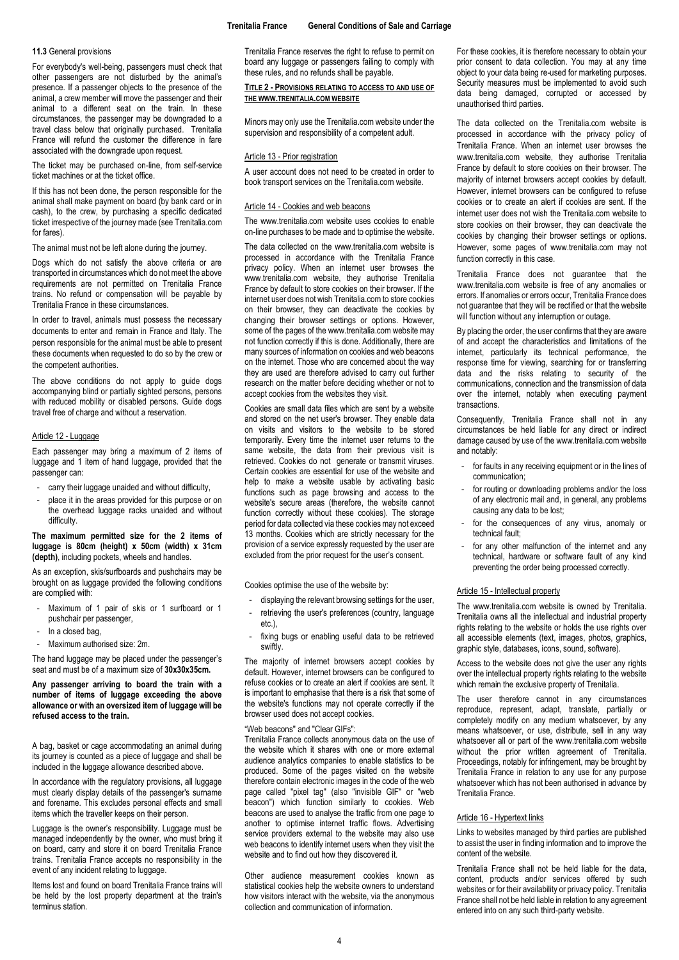## **11.3** General provisions

For everybody's well-being, passengers must check that other passengers are not disturbed by the animal's presence. If a passenger objects to the presence of the animal, a crew member will move the passenger and their animal to a different seat on the train. In these circumstances, the passenger may be downgraded to a travel class below that originally purchased. Trenitalia France will refund the customer the difference in fare associated with the downgrade upon request.

The ticket may be purchased on-line, from self-service ticket machines or at the ticket office.

If this has not been done, the person responsible for the animal shall make payment on board (by bank card or in cash), to the crew, by purchasing a specific dedicated ticket irrespective of the journey made (see Trenitalia.com for fares).

The animal must not be left alone during the journey.

Dogs which do not satisfy the above criteria or are transported in circumstances which do not meet the above requirements are not permitted on Trenitalia France trains. No refund or compensation will be payable by Trenitalia France in these circumstances.

In order to travel, animals must possess the necessary documents to enter and remain in France and Italy. The person responsible for the animal must be able to present these documents when requested to do so by the crew or the competent authorities.

The above conditions do not apply to guide dogs accompanying blind or partially sighted persons, persons with reduced mobility or disabled persons. Guide dogs travel free of charge and without a reservation.

### <span id="page-3-0"></span>Article 12 - Luggage

Each passenger may bring a maximum of 2 items of luggage and 1 item of hand luggage, provided that the passenger can:

- carry their luggage unaided and without difficulty,
- place it in the areas provided for this purpose or on the overhead luggage racks unaided and without difficulty.

### **The maximum permitted size for the 2 items of luggage is 80cm (height) x 50cm (width) x 31cm (depth)**, including pockets, wheels and handles.

As an exception, skis/surfboards and pushchairs may be brought on as luggage provided the following conditions are complied with:

- Maximum of 1 pair of skis or 1 surfboard or 1 pushchair per passenger,
- In a closed bag.
- Maximum authorised size: 2m.

The hand luggage may be placed under the passenger's seat and must be of a maximum size of **30x30x35cm.**

### **Any passenger arriving to board the train with a number of items of luggage exceeding the above allowance or with an oversized item of luggage will be refused access to the train.**

A bag, basket or cage accommodating an animal during its journey is counted as a piece of luggage and shall be included in the luggage allowance described above.

In accordance with the regulatory provisions, all luggage must clearly display details of the passenger's surname and forename. This excludes personal effects and small items which the traveller keeps on their person.

Luggage is the owner's responsibility. Luggage must be managed independently by the owner, who must bring it on board, carry and store it on board Trenitalia France trains. Trenitalia France accepts no responsibility in the event of any incident relating to luggage.

Items lost and found on board Trenitalia France trains will be held by the lost property department at the train's terminus station.

Trenitalia France reserves the right to refuse to permit on board any luggage or passengers failing to comply with these rules, and no refunds shall be payable.

<span id="page-3-1"></span>**TITLE 2 - PROVISIONS RELATING TO ACCESS TO AND USE OF THE WWW.TRENITALIA.COM WEBSITE**

<span id="page-3-2"></span>Minors may only use the Trenitalia.com website under the supervision and responsibility of a competent adult.

### <span id="page-3-3"></span>Article 13 - Prior registration

A user account does not need to be created in order to book transport services on the Trenitalia.com website.

### <span id="page-3-4"></span>Article 14 - Cookies and web beacons

The www.trenitalia.com website uses cookies to enable on-line purchases to be made and to optimise the website.

The data collected on the www.trenitalia.com website is processed in accordance with the Trenitalia France privacy policy. When an internet user browses the www.trenitalia.com website, they authorise Trenitalia France by default to store cookies on their browser. If the internet user does not wish Trenitalia.com to store cookies on their browser, they can deactivate the cookies by changing their browser settings or options. However, some of the pages of the www.trenitalia.com website may not function correctly if this is done. Additionally, there are many sources of information on cookies and web beacons on the internet. Those who are concerned about the way they are used are therefore advised to carry out further research on the matter before deciding whether or not to accept cookies from the websites they visit.

Cookies are small data files which are sent by a website and stored on the net user's browser. They enable data on visits and visitors to the website to be stored temporarily. Every time the internet user returns to the same website, the data from their previous visit is retrieved. Cookies do not generate or transmit viruses. Certain cookies are essential for use of the website and help to make a website usable by activating basic functions such as page browsing and access to the website's secure areas (therefore, the website cannot function correctly without these cookies). The storage period for data collected via these cookies may not exceed 13 months. Cookies which are strictly necessary for the provision of a service expressly requested by the user are excluded from the prior request for the user's consent.

Cookies optimise the use of the website by:

- displaying the relevant browsing settings for the user,
- retrieving the user's preferences (country, language etc.),
- fixing bugs or enabling useful data to be retrieved swiftly.

The majority of internet browsers accept cookies by default. However, internet browsers can be configured to refuse cookies or to create an alert if cookies are sent. It is important to emphasise that there is a risk that some of the website's functions may not operate correctly if the browser used does not accept cookies.

### "Web beacons" and "Clear GIFs":

Trenitalia France collects anonymous data on the use of the website which it shares with one or more external audience analytics companies to enable statistics to be produced. Some of the pages visited on the website therefore contain electronic images in the code of the web page called "pixel tag" (also "invisible GIF" or "web beacon") which function similarly to cookies. Web beacons are used to analyse the traffic from one page to another to optimise internet traffic flows. Advertising service providers external to the website may also use web beacons to identify internet users when they visit the website and to find out how they discovered it.

Other audience measurement cookies known as statistical cookies help the website owners to understand how visitors interact with the website, via the anonymous collection and communication of information.

For these cookies, it is therefore necessary to obtain your prior consent to data collection. You may at any time object to your data being re-used for marketing purposes. Security measures must be implemented to avoid such data being damaged, corrupted or accessed by unauthorised third parties.

The data collected on the Trenitalia.com website is processed in accordance with the privacy policy of Trenitalia France. When an internet user browses the www.trenitalia.com website, they authorise Trenitalia France by default to store cookies on their browser. The majority of internet browsers accept cookies by default. However, internet browsers can be configured to refuse cookies or to create an alert if cookies are sent. If the internet user does not wish the Trenitalia.com website to store cookies on their browser, they can deactivate the cookies by changing their browser settings or options. However, some pages of www.trenitalia.com may not function correctly in this case.

Trenitalia France does not guarantee that the www.trenitalia.com website is free of any anomalies or errors. If anomalies or errors occur, Trenitalia France does not guarantee that they will be rectified or that the website will function without any interruption or outage.

By placing the order, the user confirms that they are aware of and accept the characteristics and limitations of the internet, particularly its technical performance, the response time for viewing, searching for or transferring data and the risks relating to security of the communications, connection and the transmission of data over the internet, notably when executing payment transactions.

Consequently, Trenitalia France shall not in any circumstances be held liable for any direct or indirect damage caused by use of the www.trenitalia.com website and notably:

- for faults in any receiving equipment or in the lines of communication;
- for routing or downloading problems and/or the loss of any electronic mail and, in general, any problems causing any data to be lost;
- for the consequences of any virus, anomaly or technical fault;
- for any other malfunction of the internet and any technical, hardware or software fault of any kind preventing the order being processed correctly.

### <span id="page-3-5"></span>Article 15 - Intellectual property

The www.trenitalia.com website is owned by Trenitalia. Trenitalia owns all the intellectual and industrial property rights relating to the website or holds the use rights over all accessible elements (text, images, photos, graphics, graphic style, databases, icons, sound, software).

Access to the website does not give the user any rights over the intellectual property rights relating to the website which remain the exclusive property of Trenitalia.

The user therefore cannot in any circumstances reproduce, represent, adapt, translate, partially or completely modify on any medium whatsoever, by any means whatsoever, or use, distribute, sell in any way whatsoever all or part of the www.trenitalia.com website without the prior written agreement of Trenitalia. Proceedings, notably for infringement, may be brought by Trenitalia France in relation to any use for any purpose whatsoever which has not been authorised in advance by Trenitalia France.

## <span id="page-3-6"></span>Article 16 - Hypertext links

Links to websites managed by third parties are published to assist the user in finding information and to improve the content of the website.

Trenitalia France shall not be held liable for the data, content, products and/or services offered by such websites or for their availability or privacy policy. Trenitalia France shall not be held liable in relation to any agreement entered into on any such third-party website.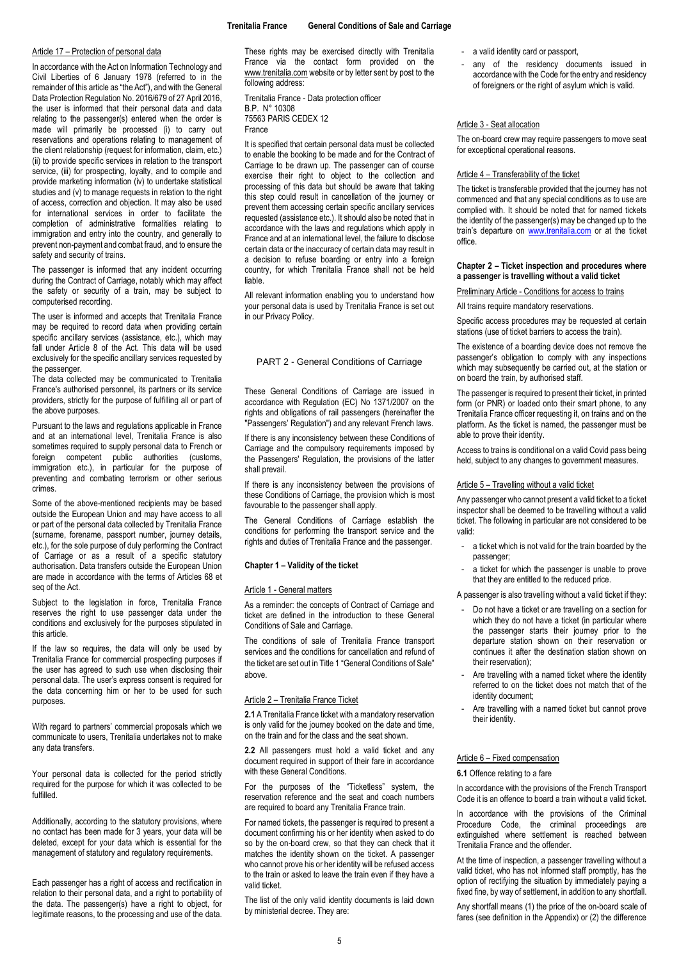### <span id="page-4-0"></span>Article 17 – Protection of personal data

In accordance with the Act on Information Technology and Civil Liberties of 6 January 1978 (referred to in the remainder of this article as "the Act"), and with the General Data Protection Regulation No. 2016/679 of 27 April 2016, the user is informed that their personal data and data relating to the passenger(s) entered when the order is made will primarily be processed (i) to carry out reservations and operations relating to management of the client relationship (request for information, claim, etc.) (ii) to provide specific services in relation to the transport service, (iii) for prospecting, loyalty, and to compile and provide marketing information (iv) to undertake statistical studies and (v) to manage requests in relation to the right of access, correction and objection. It may also be used for international services in order to facilitate the completion of administrative formalities relating to immigration and entry into the country, and generally to prevent non-payment and combat fraud, and to ensure the safety and security of trains.

The passenger is informed that any incident occurring during the Contract of Carriage, notably which may affect the safety or security of a train, may be subject to computerised recording.

The user is informed and accepts that Trenitalia France may be required to record data when providing certain specific ancillary services (assistance, etc.), which may fall under Article 8 of the Act. This data will be used exclusively for the specific ancillary services requested by the passenger.

The data collected may be communicated to Trenitalia France's authorised personnel, its partners or its service providers, strictly for the purpose of fulfilling all or part of the above purposes.

Pursuant to the laws and regulations applicable in France and at an international level, Trenitalia France is also sometimes required to supply personal data to French or foreign competent public authorities (customs, immigration etc.), in particular for the purpose of preventing and combating terrorism or other serious crimes.

Some of the above-mentioned recipients may be based outside the European Union and may have access to all or part of the personal data collected by Trenitalia France (surname, forename, passport number, journey details, etc.), for the sole purpose of duly performing the Contract of Carriage or as a result of a specific statutory authorisation. Data transfers outside the European Union are made in accordance with the terms of Articles 68 et seq of the Act.

Subject to the legislation in force, Trenitalia France reserves the right to use passenger data under the conditions and exclusively for the purposes stipulated in this article.

If the law so requires, the data will only be used by Trenitalia France for commercial prospecting purposes if the user has agreed to such use when disclosing their personal data. The user's express consent is required for the data concerning him or her to be used for such purposes.

With regard to partners' commercial proposals which we communicate to users, Trenitalia undertakes not to make any data transfers.

Your personal data is collected for the period strictly required for the purpose for which it was collected to be fulfilled.

Additionally, according to the statutory provisions, where no contact has been made for 3 years, your data will be deleted, except for your data which is essential for the management of statutory and regulatory requirements.

Each passenger has a right of access and rectification in relation to their personal data, and a right to portability of the data. The passenger(s) have a right to object, for legitimate reasons, to the processing and use of the data. These rights may be exercised directly with Trenitalia France via the contact form provided on the [www.trenitalia.com](http://www.trenitalia.com/) website or by letter sent by post to the following address:

Trenitalia France - Data protection officer B.P. N° 10308 75563 PARIS CEDEX 12 France

It is specified that certain personal data must be collected to enable the booking to be made and for the Contract of Carriage to be drawn up. The passenger can of course exercise their right to object to the collection and processing of this data but should be aware that taking this step could result in cancellation of the journey or prevent them accessing certain specific ancillary services requested (assistance etc.). It should also be noted that in accordance with the laws and regulations which apply in France and at an international level, the failure to disclose certain data or the inaccuracy of certain data may result in a decision to refuse boarding or entry into a foreign country, for which Trenitalia France shall not be held liable.

All relevant information enabling you to understand how your personal data is used by Trenitalia France is set out in our Privacy Policy.

### PART 2 - General Conditions of Carriage

These General Conditions of Carriage are issued in accordance with Regulation (EC) No 1371/2007 on the rights and obligations of rail passengers (hereinafter the "Passengers' Regulation") and any relevant French laws.

If there is any inconsistency between these Conditions of Carriage and the compulsory requirements imposed by the Passengers' Regulation, the provisions of the latter shall prevail.

If there is any inconsistency between the provisions of these Conditions of Carriage, the provision which is most favourable to the passenger shall apply.

The General Conditions of Carriage establish the conditions for performing the transport service and the rights and duties of Trenitalia France and the passenger.

### <span id="page-4-1"></span>**Chapter 1 – Validity of the ticket**

#### <span id="page-4-2"></span>Article 1 - General matters

As a reminder: the concepts of Contract of Carriage and ticket are defined in the introduction to these General Conditions of Sale and Carriage.

The conditions of sale of Trenitalia France transport services and the conditions for cancellation and refund of the ticket are set out in Title 1 "General Conditions of Sale" above.

#### <span id="page-4-3"></span>Article 2 – Trenitalia France Ticket

**2.1** A Trenitalia France ticket with a mandatory reservation is only valid for the journey booked on the date and time, on the train and for the class and the seat shown.

**2.2** All passengers must hold a valid ticket and any document required in support of their fare in accordance with these General Conditions.

For the purposes of the "Ticketless" system, the reservation reference and the seat and coach numbers are required to board any Trenitalia France train.

For named tickets, the passenger is required to present a document confirming his or her identity when asked to do so by the on-board crew, so that they can check that it matches the identity shown on the ticket. A passenger who cannot prove his or her identity will be refused access to the train or asked to leave the train even if they have a valid ticket.

The list of the only valid identity documents is laid down by ministerial decree. They are:

- a valid identity card or passport,

any of the residency documents issued in accordance with the Code for the entry and residency of foreigners or the right of asylum which is valid.

### <span id="page-4-4"></span>Article 3 - Seat allocation

The on-board crew may require passengers to move seat for exceptional operational reasons.

## <span id="page-4-5"></span>Article 4 – Transferability of the ticket

<span id="page-4-6"></span>The ticket is transferable provided that the journey has not commenced and that any special conditions as to use are complied with. It should be noted that for named tickets the identity of the passenger(s) may be changed up to the train's departure on [www.trenitalia.com](http://www.trenitalia.com/) or at the ticket office.

### <span id="page-4-7"></span>**Chapter 2 – Ticket inspection and procedures where a passenger is travelling without a valid ticket**

Preliminary Article - Conditions for access to trains

All trains require mandatory reservations.

Specific access procedures may be requested at certain stations (use of ticket barriers to access the train).

The existence of a boarding device does not remove the passenger's obligation to comply with any inspections which may subsequently be carried out, at the station or on board the train, by authorised staff.

The passenger is required to present their ticket, in printed form (or PNR) or loaded onto their smart phone, to any Trenitalia France officer requesting it, on trains and on the platform. As the ticket is named, the passenger must be able to prove their identity.

Access to trains is conditional on a valid Covid pass being held, subject to any changes to government measures.

### <span id="page-4-8"></span>Article 5 – Travelling without a valid ticket

<span id="page-4-9"></span>Any passenger who cannot present a valid ticket to a ticket inspector shall be deemed to be travelling without a valid ticket. The following in particular are not considered to be valid:

- a ticket which is not valid for the train boarded by the passenger;
- a ticket for which the passenger is unable to prove that they are entitled to the reduced price.

A passenger is also travelling without a valid ticket if they:

- Do not have a ticket or are travelling on a section for which they do not have a ticket (in particular where the passenger starts their journey prior to the departure station shown on their reservation or continues it after the destination station shown on their reservation);
- Are travelling with a named ticket where the identity referred to on the ticket does not match that of the identity document;
- Are travelling with a named ticket but cannot prove their identity.

### <span id="page-4-10"></span>Article 6 – Fixed compensation

#### **6.1** Offence relating to a fare

In accordance with the provisions of the French Transport Code it is an offence to board a train without a valid ticket.

In accordance with the provisions of the Criminal Procedure Code, the criminal proceedings are extinguished where settlement is reached between Trenitalia France and the offender.

At the time of inspection, a passenger travelling without a valid ticket, who has not informed staff promptly, has the option of rectifying the situation by immediately paying a fixed fine, by way of settlement, in addition to any shortfall.

Any shortfall means (1) the price of the on-board scale of fares (see definition in the Appendix) or (2) the difference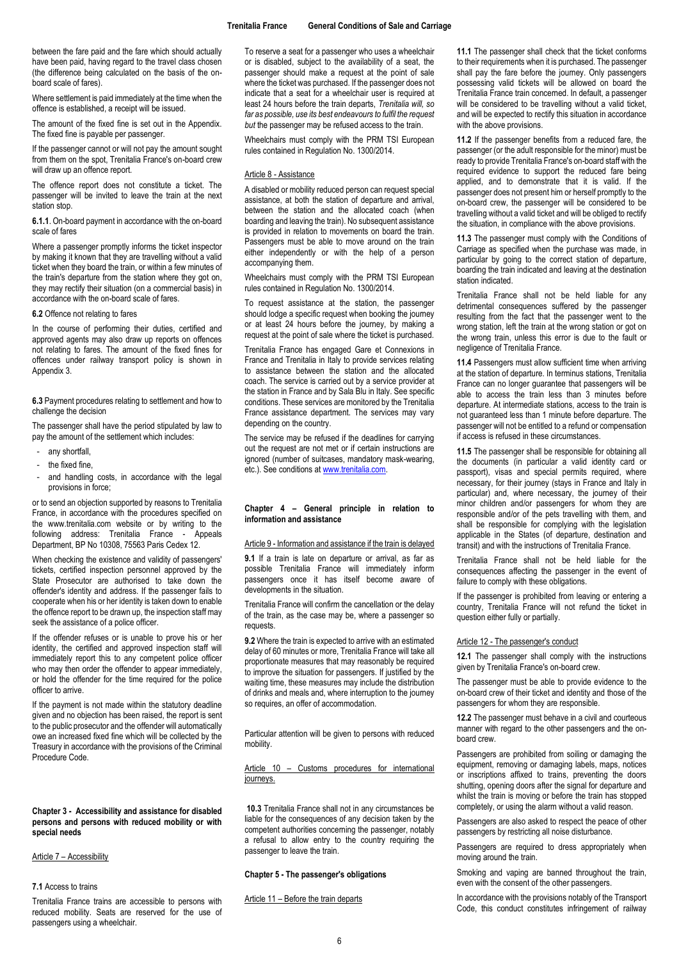between the fare paid and the fare which should actually have been paid, having regard to the travel class chosen (the difference being calculated on the basis of the onboard scale of fares).

Where settlement is paid immediately at the time when the offence is established, a receipt will be issued.

The amount of the fixed fine is set out in the Appendix. The fixed fine is payable per passenger.

If the passenger cannot or will not pay the amount sought from them on the spot, Trenitalia France's on-board crew will draw up an offence report.

The offence report does not constitute a ticket. The passenger will be invited to leave the train at the next station stop.

**6.1.1**. On-board payment in accordance with the on-board scale of fares

Where a passenger promptly informs the ticket inspector by making it known that they are travelling without a valid ticket when they board the train, or within a few minutes of the train's departure from the station where they got on, they may rectify their situation (on a commercial basis) in accordance with the on-board scale of fares.

### **6.2** Offence not relating to fares

In the course of performing their duties, certified and approved agents may also draw up reports on offences not relating to fares. The amount of the fixed fines for offences under railway transport policy is shown in Appendix 3.

**6.3** Payment procedures relating to settlement and how to challenge the decision

The passenger shall have the period stipulated by law to pay the amount of the settlement which includes:

- any shortfall.
- the fixed fine,
- and handling costs, in accordance with the legal provisions in force;

or to send an objection supported by reasons to Trenitalia France, in accordance with the procedures specified on the www.trenitalia.com website or by writing to the following address: Trenitalia France - Appeals Department, BP No 10308, 75563 Paris Cedex 12.

When checking the existence and validity of passengers' tickets, certified inspection personnel approved by the State Prosecutor are authorised to take down the offender's identity and address. If the passenger fails to cooperate when his or her identity is taken down to enable the offence report to be drawn up, the inspection staff may seek the assistance of a police officer.

If the offender refuses or is unable to prove his or her identity, the certified and approved inspection staff will immediately report this to any competent police officer who may then order the offender to appear immediately, or hold the offender for the time required for the police officer to arrive.

If the payment is not made within the statutory deadline given and no objection has been raised, the report is sent to the public prosecutor and the offender will automatically owe an increased fixed fine which will be collected by the Treasury in accordance with the provisions of the Criminal Procedure Code.

<span id="page-5-0"></span>**Chapter 3 - Accessibility and assistance for disabled persons and persons with reduced mobility or with special needs**

<span id="page-5-1"></span>Article 7 – Accessibility

### **7.1** Access to trains

Trenitalia France trains are accessible to persons with reduced mobility. Seats are reserved for the use of passengers using a wheelchair.

To reserve a seat for a passenger who uses a wheelchair or is disabled, subject to the availability of a seat, the passenger should make a request at the point of sale where the ticket was purchased. If the passenger does not indicate that a seat for a wheelchair user is required at least 24 hours before the train departs, *Trenitalia will, so far as possible, use its best endeavours to fulfil the request but* the passenger may be refused access to the train.

Wheelchairs must comply with the PRM TSI European rules contained in Regulation No. 1300/2014.

#### <span id="page-5-2"></span>Article 8 - Assistance

A disabled or mobility reduced person can request special assistance, at both the station of departure and arrival, between the station and the allocated coach (when boarding and leaving the train). No subsequent assistance is provided in relation to movements on board the train. Passengers must be able to move around on the train either independently or with the help of a person accompanying them.

Wheelchairs must comply with the PRM TSI European rules contained in Regulation No. 1300/2014.

To request assistance at the station, the passenger should lodge a specific request when booking the journey or at least 24 hours before the journey, by making a request at the point of sale where the ticket is purchased.

Trenitalia France has engaged Gare et Connexions in France and Trenitalia in Italy to provide services relating to assistance between the station and the allocated coach. The service is carried out by a service provider at the station in France and by Sala Blu in Italy. See specific conditions. These services are monitored by the Trenitalia France assistance department. The services may vary depending on the country.

The service may be refused if the deadlines for carrying out the request are not met or if certain instructions are ignored (number of suitcases, mandatory mask-wearing, etc.). See conditions at [www.trenitalia.com.](http://www.trenitalia.com/)

### <span id="page-5-3"></span>**Chapter 4 – General principle in relation to information and assistance**

### <span id="page-5-4"></span>Article 9 - Information and assistance if the train is delayed

**9.1** If a train is late on departure or arrival, as far as possible Trenitalia France will immediately inform passengers once it has itself become aware of developments in the situation.

Trenitalia France will confirm the cancellation or the delay of the train, as the case may be, where a passenger so requests.

**9.2** Where the train is expected to arrive with an estimated delay of 60 minutes or more, Trenitalia France will take all proportionate measures that may reasonably be required to improve the situation for passengers. If justified by the waiting time, these measures may include the distribution of drinks and meals and, where interruption to the journey so requires, an offer of accommodation.

Particular attention will be given to persons with reduced mobility.

<span id="page-5-5"></span>Article 10 – Customs procedures for international journeys.

**10.3** Trenitalia France shall not in any circumstances be liable for the consequences of any decision taken by the competent authorities concerning the passenger, notably a refusal to allow entry to the country requiring the passenger to leave the train.

### <span id="page-5-6"></span>**Chapter 5 - The passenger's obligations**

#### <span id="page-5-7"></span>Article 11 – Before the train departs

**11.1** The passenger shall check that the ticket conforms to their requirements when it is purchased. The passenger shall pay the fare before the journey. Only passengers possessing valid tickets will be allowed on board the Trenitalia France train concerned. In default, a passenger will be considered to be travelling without a valid ticket, and will be expected to rectify this situation in accordance with the above provisions.

**11.2** If the passenger benefits from a reduced fare, the passenger (or the adult responsible for the minor) must be ready to provide Trenitalia France's on-board staff with the required evidence to support the reduced fare being applied, and to demonstrate that it is valid. If the passenger does not present him or herself promptly to the on-board crew, the passenger will be considered to be travelling without a valid ticket and will be obliged to rectify the situation, in compliance with the above provisions.

**11.3** The passenger must comply with the Conditions of Carriage as specified when the purchase was made, in particular by going to the correct station of departure. boarding the train indicated and leaving at the destination station indicated.

Trenitalia France shall not be held liable for any detrimental consequences suffered by the passenger resulting from the fact that the passenger went to the wrong station, left the train at the wrong station or got on the wrong train, unless this error is due to the fault or negligence of Trenitalia France.

**11.4** Passengers must allow sufficient time when arriving at the station of departure. In terminus stations, Trenitalia France can no longer guarantee that passengers will be able to access the train less than 3 minutes before departure. At intermediate stations, access to the train is not guaranteed less than 1 minute before departure. The passenger will not be entitled to a refund or compensation if access is refused in these circumstances.

**11.5** The passenger shall be responsible for obtaining all the documents (in particular a valid identity card or passport), visas and special permits required, where necessary, for their journey (stays in France and Italy in particular) and, where necessary, the journey of their minor children and/or passengers for whom they are responsible and/or of the pets travelling with them, and shall be responsible for complying with the legislation applicable in the States (of departure, destination and transit) and with the instructions of Trenitalia France.

Trenitalia France shall not be held liable for the consequences affecting the passenger in the event of failure to comply with these obligations.

If the passenger is prohibited from leaving or entering a country, Trenitalia France will not refund the ticket in question either fully or partially.

### <span id="page-5-8"></span>Article 12 - The passenger's conduct

**12.1** The passenger shall comply with the instructions given by Trenitalia France's on-board crew.

The passenger must be able to provide evidence to the on-board crew of their ticket and identity and those of the passengers for whom they are responsible.

**12.2** The passenger must behave in a civil and courteous manner with regard to the other passengers and the onboard crew.

Passengers are prohibited from soiling or damaging the equipment, removing or damaging labels, maps, notices or inscriptions affixed to trains, preventing the doors shutting, opening doors after the signal for departure and whilst the train is moving or before the train has stopped completely, or using the alarm without a valid reason.

Passengers are also asked to respect the peace of other passengers by restricting all noise disturbance.

Passengers are required to dress appropriately when moving around the train.

Smoking and vaping are banned throughout the train, even with the consent of the other passengers.

In accordance with the provisions notably of the Transport Code, this conduct constitutes infringement of railway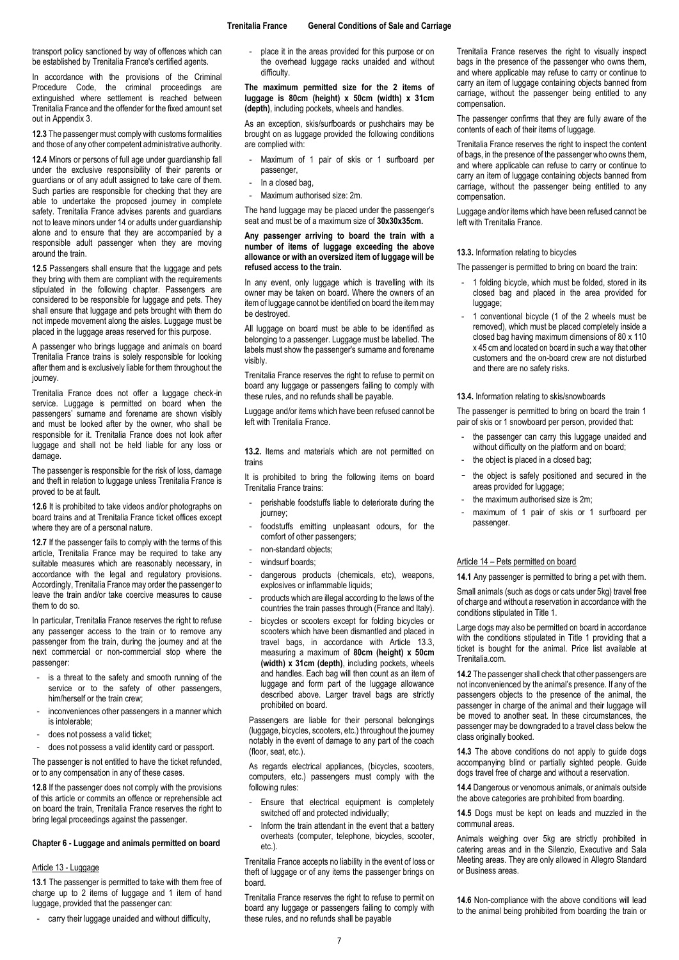transport policy sanctioned by way of offences which can be established by Trenitalia France's certified agents.

In accordance with the provisions of the Criminal Procedure Code, the criminal proceedings are extinguished where settlement is reached between Trenitalia France and the offender for the fixed amount set out in Appendix 3.

**12.3** The passenger must comply with customs formalities and those of any other competent administrative authority.

**12.4** Minors or persons of full age under guardianship fall under the exclusive responsibility of their parents or guardians or of any adult assigned to take care of them. Such parties are responsible for checking that they are able to undertake the proposed journey in complete safety. Trenitalia France advises parents and guardians not to leave minors under 14 or adults under guardianship alone and to ensure that they are accompanied by a responsible adult passenger when they are moving around the train.

**12.5** Passengers shall ensure that the luggage and pets they bring with them are compliant with the requirements stipulated in the following chapter. Passengers are considered to be responsible for luggage and pets. They shall ensure that luggage and pets brought with them do not impede movement along the aisles. Luggage must be placed in the luggage areas reserved for this purpose.

A passenger who brings luggage and animals on board Trenitalia France trains is solely responsible for looking after them and is exclusively liable for them throughout the journey.

Trenitalia France does not offer a luggage check-in service. Luggage is permitted on board when the passengers' surname and forename are shown visibly and must be looked after by the owner, who shall be responsible for it. Trenitalia France does not look after luggage and shall not be held liable for any loss or damage.

The passenger is responsible for the risk of loss, damage and theft in relation to luggage unless Trenitalia France is proved to be at fault.

**12.6** It is prohibited to take videos and/or photographs on board trains and at Trenitalia France ticket offices except where they are of a personal nature.

**12.7** If the passenger fails to comply with the terms of this article, Trenitalia France may be required to take any suitable measures which are reasonably necessary, in accordance with the legal and regulatory provisions. Accordingly, Trenitalia France may order the passenger to leave the train and/or take coercive measures to cause them to do so.

In particular, Trenitalia France reserves the right to refuse any passenger access to the train or to remove any passenger from the train, during the journey and at the next commercial or non-commercial stop where the passenger:

- is a threat to the safety and smooth running of the service or to the safety of other passengers, him/herself or the train crew;
- inconveniences other passengers in a manner which is intolerable;
- does not possess a valid ticket;
- does not possess a valid identity card or passport.

The passenger is not entitled to have the ticket refunded, or to any compensation in any of these cases.

**12.8** If the passenger does not comply with the provisions of this article or commits an offence or reprehensible act on board the train, Trenitalia France reserves the right to bring legal proceedings against the passenger.

## <span id="page-6-0"></span>**Chapter 6 - Luggage and animals permitted on board**

### <span id="page-6-1"></span>Article 13 - Luggage

**13.1** The passenger is permitted to take with them free of charge up to 2 items of luggage and 1 item of hand luggage, provided that the passenger can:

- carry their luggage unaided and without difficulty,

place it in the areas provided for this purpose or on the overhead luggage racks unaided and without difficulty.

**The maximum permitted size for the 2 items of luggage is 80cm (height) x 50cm (width) x 31cm (depth)**, including pockets, wheels and handles.

As an exception, skis/surfboards or pushchairs may be brought on as luggage provided the following conditions are complied with:

- Maximum of 1 pair of skis or 1 surfboard per passenger,
- In a closed bag,
- Maximum authorised size: 2m.

The hand luggage may be placed under the passenger's seat and must be of a maximum size of **30x30x35cm.**

### **Any passenger arriving to board the train with a number of items of luggage exceeding the above allowance or with an oversized item of luggage will be refused access to the train.**

In any event, only luggage which is travelling with its owner may be taken on board. Where the owners of an item of luggage cannot be identified on board the item may be destroyed.

All luggage on board must be able to be identified as belonging to a passenger. Luggage must be labelled. The labels must show the passenger's surname and forename visibly.

Trenitalia France reserves the right to refuse to permit on board any luggage or passengers failing to comply with these rules, and no refunds shall be payable.

Luggage and/or items which have been refused cannot be left with Trenitalia France.

**13.2.** Items and materials which are not permitted on trains

It is prohibited to bring the following items on board Trenitalia France trains:

- perishable foodstuffs liable to deteriorate during the journey;
- foodstuffs emitting unpleasant odours, for the comfort of other passengers;
- non-standard objects;
- windsurf boards:
- dangerous products (chemicals, etc), weapons, explosives or inflammable liquids:
- products which are illegal according to the laws of the countries the train passes through (France and Italy).
- bicycles or scooters except for folding bicycles or scooters which have been dismantled and placed in travel bags, in accordance with Article 13.3, measuring a maximum of **80cm (height) x 50cm (width) x 31cm (depth)**, including pockets, wheels and handles. Each bag will then count as an item of luggage and form part of the luggage allowance described above. Larger travel bags are strictly prohibited on board.

Passengers are liable for their personal belongings (luggage, bicycles, scooters, etc.) throughout the journey notably in the event of damage to any part of the coach (floor, seat, etc.).

As regards electrical appliances, (bicycles, scooters, computers, etc.) passengers must comply with the following rules:

- Ensure that electrical equipment is completely switched off and protected individually;
- Inform the train attendant in the event that a battery overheats (computer, telephone, bicycles, scooter, etc.).

Trenitalia France accepts no liability in the event of loss or theft of luggage or of any items the passenger brings on board.

Trenitalia France reserves the right to refuse to permit on board any luggage or passengers failing to comply with these rules, and no refunds shall be payable

Trenitalia France reserves the right to visually inspect bags in the presence of the passenger who owns them, and where applicable may refuse to carry or continue to carry an item of luggage containing objects banned from carriage, without the passenger being entitled to any compensation.

The passenger confirms that they are fully aware of the contents of each of their items of luggage.

Trenitalia France reserves the right to inspect the content of bags, in the presence of the passenger who owns them, and where applicable can refuse to carry or continue to carry an item of luggage containing objects banned from carriage, without the passenger being entitled to any compensation.

Luggage and/or items which have been refused cannot be left with Trenitalia France.

### **13.3.** Information relating to bicycles

The passenger is permitted to bring on board the train:

- 1 folding bicycle, which must be folded, stored in its closed bag and placed in the area provided for luggage;
- 1 conventional bicycle (1 of the 2 wheels must be removed), which must be placed completely inside a closed bag having maximum dimensions of 80 x 110 x 45 cm and located on board in such a way that other customers and the on-board crew are not disturbed and there are no safety risks.

### **13.4.** Information relating to skis/snowboards

The passenger is permitted to bring on board the train 1 pair of skis or 1 snowboard per person, provided that:

- the passenger can carry this luggage unaided and without difficulty on the platform and on board; the object is placed in a closed bag;
- the object is safely positioned and secured in the
- areas provided for luggage; the maximum authorised size is 2m;
- maximum of 1 pair of skis or 1 surfboard per passenger.

## <span id="page-6-2"></span>Article 14 – Pets permitted on board

**14.1** Any passenger is permitted to bring a pet with them.

Small animals (such as dogs or cats under 5kg) travel free of charge and without a reservation in accordance with the conditions stipulated in Title 1.

Large dogs may also be permitted on board in accordance with the conditions stipulated in Title 1 providing that a ticket is bought for the animal. Price list available at Trenitalia.com.

**14.2** The passenger shall check that other passengers are not inconvenienced by the animal's presence. If any of the passengers objects to the presence of the animal, the passenger in charge of the animal and their luggage will be moved to another seat. In these circumstances, the passenger may be downgraded to a travel class below the class originally booked.

**14.3** The above conditions do not apply to guide dogs accompanying blind or partially sighted people. Guide dogs travel free of charge and without a reservation.

**14.4** Dangerous or venomous animals, or animals outside the above categories are prohibited from boarding.

**14.5** Dogs must be kept on leads and muzzled in the communal areas.

Animals weighing over 5kg are strictly prohibited in catering areas and in the Silenzio, Executive and Sala Meeting areas. They are only allowed in Allegro Standard or Business areas.

**14.6** Non-compliance with the above conditions will lead to the animal being prohibited from boarding the train or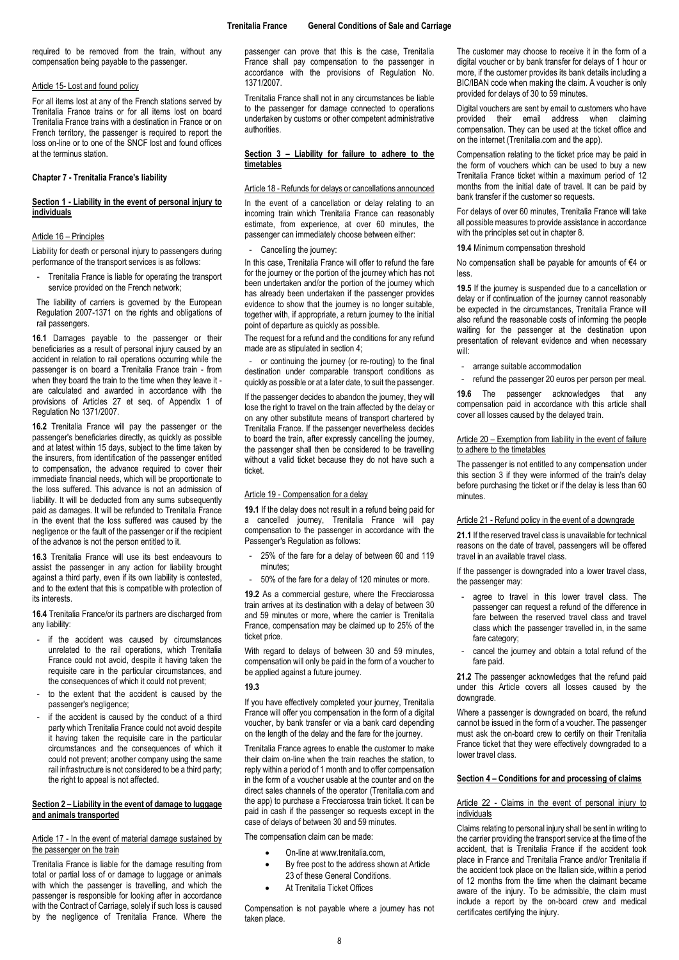required to be removed from the train, without any compensation being payable to the passenger.

### <span id="page-7-0"></span>Article 15- Lost and found policy

For all items lost at any of the French stations served by Trenitalia France trains or for all items lost on board Trenitalia France trains with a destination in France or on French territory, the passenger is required to report the loss on-line or to one of the SNCF lost and found offices at the terminus station.

### <span id="page-7-1"></span>**Chapter 7 - Trenitalia France's liability**

### <span id="page-7-2"></span>**Section 1 - Liability in the event of personal injury to individuals**

## <span id="page-7-3"></span>Article 16 – Principles

Liability for death or personal injury to passengers during performance of the transport services is as follows:

Trenitalia France is liable for operating the transport service provided on the French network;

The liability of carriers is governed by the European Regulation 2007-1371 on the rights and obligations of rail passengers.

**16.1** Damages payable to the passenger or their beneficiaries as a result of personal injury caused by an accident in relation to rail operations occurring while the passenger is on board a Trenitalia France train - from when they board the train to the time when they leave it are calculated and awarded in accordance with the provisions of Articles 27 et seq. of Appendix 1 of Regulation No 1371/2007.

**16.2** Trenitalia France will pay the passenger or the passenger's beneficiaries directly, as quickly as possible and at latest within 15 days, subject to the time taken by the insurers, from identification of the passenger entitled to compensation, the advance required to cover their immediate financial needs, which will be proportionate to the loss suffered. This advance is not an admission of liability. It will be deducted from any sums subsequently paid as damages. It will be refunded to Trenitalia France in the event that the loss suffered was caused by the negligence or the fault of the passenger or if the recipient of the advance is not the person entitled to it.

**16.3** Trenitalia France will use its best endeavours to assist the passenger in any action for liability brought against a third party, even if its own liability is contested, and to the extent that this is compatible with protection of its interests.

**16.4** Trenitalia France/or its partners are discharged from any liability:

- if the accident was caused by circumstances unrelated to the rail operations, which Trenitalia France could not avoid, despite it having taken the requisite care in the particular circumstances, and the consequences of which it could not prevent;
- to the extent that the accident is caused by the passenger's negligence;
- if the accident is caused by the conduct of a third party which Trenitalia France could not avoid despite it having taken the requisite care in the particular circumstances and the consequences of which it could not prevent; another company using the same rail infrastructure is not considered to be a third party; the right to appeal is not affected.

## <span id="page-7-4"></span>**Section 2 – Liability in the event of damage to luggage and animals transported**

### <span id="page-7-5"></span>Article 17 - In the event of material damage sustained by the passenger on the train

Trenitalia France is liable for the damage resulting from total or partial loss of or damage to luggage or animals with which the passenger is travelling, and which the passenger is responsible for looking after in accordance with the Contract of Carriage, solely if such loss is caused by the negligence of Trenitalia France. Where the passenger can prove that this is the case, Trenitalia France shall pay compensation to the passenger in accordance with the provisions of Regulation No. 1371/2007.

Trenitalia France shall not in any circumstances be liable to the passenger for damage connected to operations undertaken by customs or other competent administrative authorities.

## <span id="page-7-6"></span>**Section 3 – Liability for failure to adhere to the timetables**

### <span id="page-7-7"></span>Article 18 - Refunds for delays or cancellations announced

In the event of a cancellation or delay relating to an incoming train which Trenitalia France can reasonably estimate, from experience, at over 60 minutes, the passenger can immediately choose between either:

### Cancelling the journey:

In this case, Trenitalia France will offer to refund the fare for the journey or the portion of the journey which has not been undertaken and/or the portion of the journey which has already been undertaken if the passenger provides evidence to show that the journey is no longer suitable, together with, if appropriate, a return journey to the initial point of departure as quickly as possible.

The request for a refund and the conditions for any refund made are as stipulated in section 4;

- or continuing the journey (or re-routing) to the final destination under comparable transport conditions as quickly as possible or at a later date, to suit the passenger.

If the passenger decides to abandon the journey, they will lose the right to travel on the train affected by the delay or on any other substitute means of transport chartered by Trenitalia France. If the passenger nevertheless decides to board the train, after expressly cancelling the journey, the passenger shall then be considered to be travelling without a valid ticket because they do not have such a ticket.

### <span id="page-7-8"></span>Article 19 - Compensation for a delay

**19.1** If the delay does not result in a refund being paid for a cancelled journey, Trenitalia France will pay compensation to the passenger in accordance with the Passenger's Regulation as follows:

- 25% of the fare for a delay of between 60 and 119 minutes;
- 50% of the fare for a delay of 120 minutes or more.

**19.2** As a commercial gesture, where the Frecciarossa train arrives at its destination with a delay of between 30 and 59 minutes or more, where the carrier is Trenitalia France, compensation may be claimed up to 25% of the ticket price.

With regard to delays of between 30 and 59 minutes, compensation will only be paid in the form of a voucher to be applied against a future journey.

### **19.3**

If you have effectively completed your journey, Trenitalia France will offer you compensation in the form of a digital voucher, by bank transfer or via a bank card depending on the length of the delay and the fare for the journey.

Trenitalia France agrees to enable the customer to make their claim on-line when the train reaches the station, to reply within a period of 1 month and to offer compensation in the form of a voucher usable at the counter and on the direct sales channels of the operator (Trenitalia.com and the app) to purchase a Frecciarossa train ticket. It can be paid in cash if the passenger so requests except in the case of delays of between 30 and 59 minutes.

The compensation claim can be made:

- On-line at www.trenitalia.com
- By free post to the address shown at Article 23 of these General Conditions.
- At Trenitalia Ticket Offices

Compensation is not payable where a journey has not taken place.

The customer may choose to receive it in the form of a digital voucher or by bank transfer for delays of 1 hour or more, if the customer provides its bank details including a BIC/IBAN code when making the claim. A voucher is only provided for delays of 30 to 59 minutes.

Digital vouchers are sent by email to customers who have provided their email address when claiming compensation. They can be used at the ticket office and on the internet (Trenitalia.com and the app).

Compensation relating to the ticket price may be paid in the form of vouchers which can be used to buy a new Trenitalia France ticket within a maximum period of 12 months from the initial date of travel. It can be paid by bank transfer if the customer so requests.

For delays of over 60 minutes, Trenitalia France will take all possible measures to provide assistance in accordance with the principles set out in chapter 8.

#### **19.4** Minimum compensation threshold

No compensation shall be payable for amounts of €4 or less.

**19.5** If the journey is suspended due to a cancellation or delay or if continuation of the journey cannot reasonably be expected in the circumstances, Trenitalia France will also refund the reasonable costs of informing the people waiting for the passenger at the destination upon presentation of relevant evidence and when necessary will:

- arrange suitable accommodation
- refund the passenger 20 euros per person per meal.

**19.6** The passenger acknowledges that any compensation paid in accordance with this article shall cover all losses caused by the delayed train.

### <span id="page-7-9"></span>Article 20 – Exemption from liability in the event of failure to adhere to the timetables

The passenger is not entitled to any compensation under this section 3 if they were informed of the train's delay before purchasing the ticket or if the delay is less than 60 minutes.

#### <span id="page-7-10"></span>Article 21 - Refund policy in the event of a downgrade

**21.1** If the reserved travel class is unavailable for technical reasons on the date of travel, passengers will be offered travel in an available travel class.

If the passenger is downgraded into a lower travel class, the passenger may:

- agree to travel in this lower travel class. The passenger can request a refund of the difference in fare between the reserved travel class and travel class which the passenger travelled in, in the same fare category;
- cancel the journey and obtain a total refund of the fare paid.

**21.2** The passenger acknowledges that the refund paid under this Article covers all losses caused by the downgrade.

Where a passenger is downgraded on board, the refund cannot be issued in the form of a voucher. The passenger must ask the on-board crew to certify on their Trenitalia France ticket that they were effectively downgraded to a lower travel class.

# <span id="page-7-11"></span>**Section 4 – Conditions for and processing of claims**

### <span id="page-7-12"></span>Article 22 - Claims in the event of personal injury to individuals

Claims relating to personal injury shall be sent in writing to the carrier providing the transport service at the time of the accident, that is Trenitalia France if the accident took place in France and Trenitalia France and/or Trenitalia if the accident took place on the Italian side, within a period of 12 months from the time when the claimant became aware of the injury. To be admissible, the claim must include a report by the on-board crew and medical certificates certifying the injury.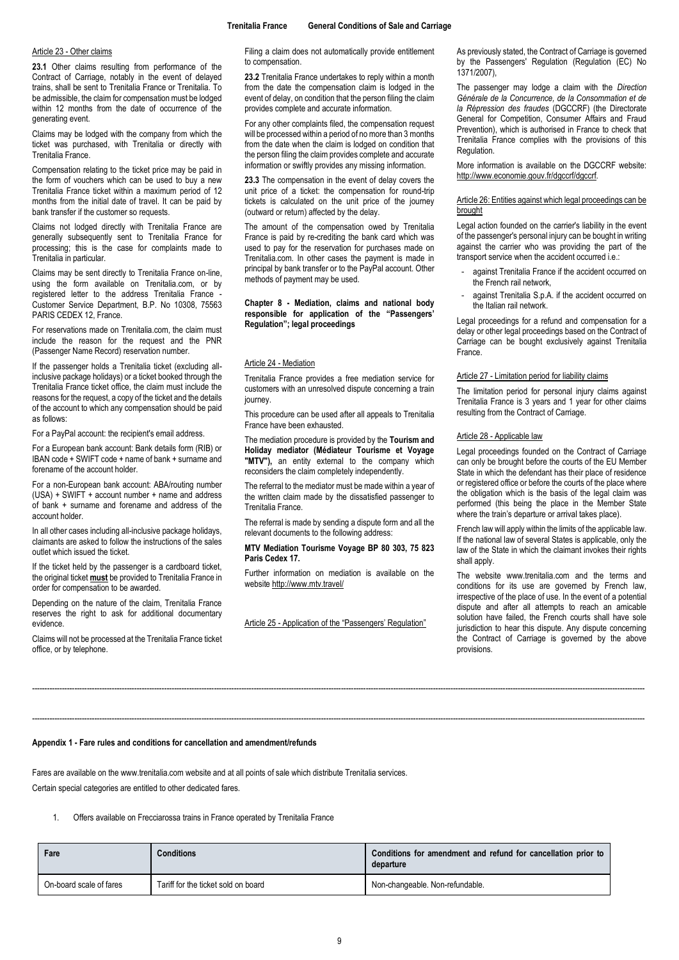### <span id="page-8-0"></span>Article 23 - Other claims

**23.1** Other claims resulting from performance of the Contract of Carriage, notably in the event of delayed trains, shall be sent to Trenitalia France or Trenitalia. To be admissible, the claim for compensation must be lodged within 12 months from the date of occurrence of the generating event.

Claims may be lodged with the company from which the ticket was purchased, with Trenitalia or directly with Trenitalia France.

Compensation relating to the ticket price may be paid in the form of vouchers which can be used to buy a new Trenitalia France ticket within a maximum period of 12 months from the initial date of travel. It can be paid by bank transfer if the customer so requests.

Claims not lodged directly with Trenitalia France are generally subsequently sent to Trenitalia France for processing; this is the case for complaints made to Trenitalia in particular.

Claims may be sent directly to Trenitalia France on-line, using the form available on Trenitalia.com, or by registered letter to the address Trenitalia France Customer Service Department, B.P. No 10308, 75563 PARIS CEDEX 12, France.

For reservations made on Trenitalia.com, the claim must include the reason for the request and the PNR (Passenger Name Record) reservation number.

If the passenger holds a Trenitalia ticket (excluding allinclusive package holidays) or a ticket booked through the Trenitalia France ticket office, the claim must include the reasons for the request, a copy of the ticket and the details of the account to which any compensation should be paid as follows:

For a PayPal account: the recipient's email address.

For a European bank account: Bank details form (RIB) or IBAN code + SWIFT code + name of bank + surname and forename of the account holder.

For a non-European bank account: ABA/routing number (USA) + SWIFT + account number + name and address of bank + surname and forename and address of the account holder.

In all other cases including all-inclusive package holidays, claimants are asked to follow the instructions of the sales outlet which issued the ticket.

If the ticket held by the passenger is a cardboard ticket, the original ticket **must** be provided to Trenitalia France in order for compensation to be awarded.

Depending on the nature of the claim, Trenitalia France reserves the right to ask for additional documentary evidence.

Claims will not be processed at the Trenitalia France ticket office, or by telephone.

Filing a claim does not automatically provide entitlement to compensation.

**23.2** Trenitalia France undertakes to reply within a month from the date the compensation claim is lodged in the event of delay, on condition that the person filing the claim provides complete and accurate information.

For any other complaints filed, the compensation request will be processed within a period of no more than 3 months from the date when the claim is lodged on condition that the person filing the claim provides complete and accurate information or swiftly provides any missing information.

**23.3** The compensation in the event of delay covers the unit price of a ticket: the compensation for round-trip tickets is calculated on the unit price of the journey (outward or return) affected by the delay.

The amount of the compensation owed by Trenitalia France is paid by re-crediting the bank card which was used to pay for the reservation for purchases made on Trenitalia.com. In other cases the payment is made in principal by bank transfer or to the PayPal account. Other methods of payment may be used.

### <span id="page-8-1"></span>**Chapter 8 - Mediation, claims and national body responsible for application of the "Passengers' Regulation"; legal proceedings**

#### <span id="page-8-2"></span>Article 24 - Mediation

Trenitalia France provides a free mediation service for customers with an unresolved dispute concerning a train iourney

This procedure can be used after all appeals to Trenitalia France have been exhausted.

The mediation procedure is provided by the **Tourism and Holiday mediator (Médiateur Tourisme et Voyage "MTV"),** an entity external to the company which reconsiders the claim completely independently.

The referral to the mediator must be made within a year of the written claim made by the dissatisfied passenger to Trenitalia France.

The referral is made by sending a dispute form and all the relevant documents to the following address:

### **MTV Mediation Tourisme Voyage BP 80 303, 75 823 Paris Cedex 17.**

Further information on mediation is available on the websit[e http://www.mtv.travel/](http://www.mtv.travel/)

<span id="page-8-3"></span>Article 25 - Application of the "Passengers' Regulation"

------------------------------------------------------------------------------------------------------------------------------------------------------------------------------------------------------------------------------------------------------

------------------------------------------------------------------------------------------------------------------------------------------------------------------------------------------------------------------------------------------------------

As previously stated, the Contract of Carriage is governed by the Passengers' Regulation (Regulation (EC) No 1371/2007),

The passenger may lodge a claim with the *Direction Générale de la Concurrence, de la Consommation et de la Répression des fraudes* (DGCCRF) (the Directorate General for Competition, Consumer Affairs and Fraud Prevention), which is authorised in France to check that Trenitalia France complies with the provisions of this **Regulation** 

More information is available on the DGCCRF website: [http://www.economie.gouv.fr/dgccrf/dgccrf.](http://www.economie.gouv.fr/dgccrf/dgccrf)

### <span id="page-8-4"></span>Article 26: Entities against which legal proceedings can be brought

Legal action founded on the carrier's liability in the event of the passenger's personal injury can be bought in writing against the carrier who was providing the part of the transport service when the accident occurred i.e.:

- against Trenitalia France if the accident occurred on the French rail network,
- against Trenitalia S.p.A. if the accident occurred on the Italian rail network.

Legal proceedings for a refund and compensation for a delay or other legal proceedings based on the Contract of Carriage can be bought exclusively against Trenitalia France.

#### <span id="page-8-5"></span>Article 27 - Limitation period for liability claims

The limitation period for personal injury claims against Trenitalia France is 3 years and 1 year for other claims resulting from the Contract of Carriage.

### <span id="page-8-6"></span>Article 28 - Applicable law

Legal proceedings founded on the Contract of Carriage can only be brought before the courts of the EU Member State in which the defendant has their place of residence or registered office or before the courts of the place where the obligation which is the basis of the legal claim was performed (this being the place in the Member State where the train's departure or arrival takes place).

French law will apply within the limits of the applicable law. If the national law of several States is applicable, only the law of the State in which the claimant invokes their rights shall apply.

The website www.trenitalia.com and the terms and conditions for its use are governed by French law, irrespective of the place of use. In the event of a potential dispute and after all attempts to reach an amicable solution have failed, the French courts shall have sole jurisdiction to hear this dispute. Any dispute concerning the Contract of Carriage is governed by the above provisions.

### <span id="page-8-7"></span>**Appendix 1 - Fare rules and conditions for cancellation and amendment/refunds**

Fares are available on the www.trenitalia.com website and at all points of sale which distribute Trenitalia services. Certain special categories are entitled to other dedicated fares.

### 1. Offers available on Frecciarossa trains in France operated by Trenitalia France

| Fare                    | <b>Conditions</b>                   | Conditions for amendment and refund for cancellation prior to<br>departure |
|-------------------------|-------------------------------------|----------------------------------------------------------------------------|
| On-board scale of fares | Tariff for the ticket sold on board | Non-changeable. Non-refundable.                                            |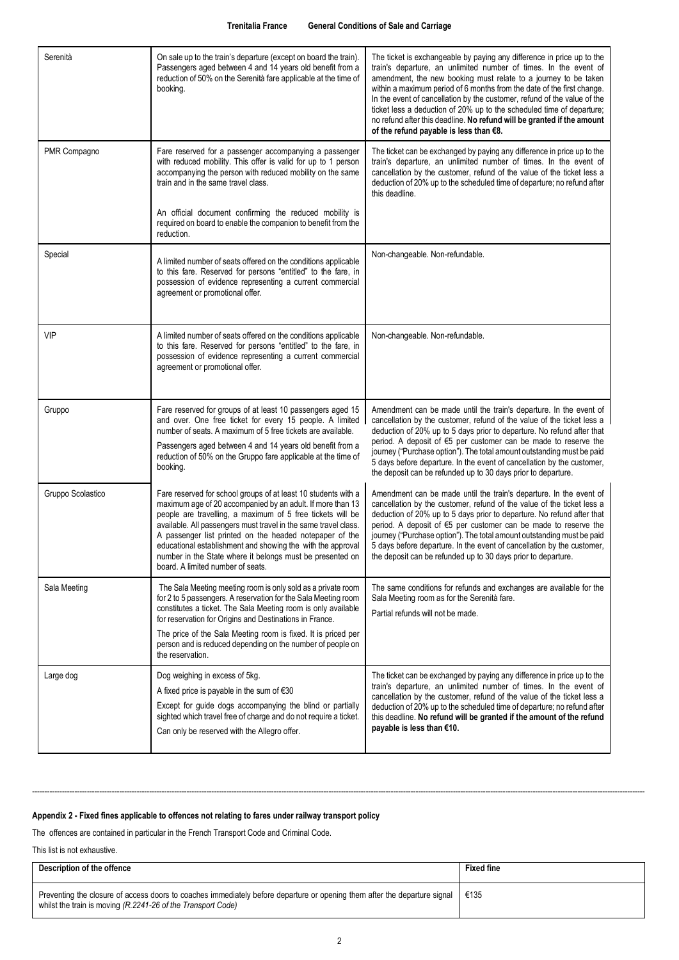| Serenità          | On sale up to the train's departure (except on board the train).<br>Passengers aged between 4 and 14 years old benefit from a<br>reduction of 50% on the Serenità fare applicable at the time of<br>booking.                                                                                                                                                                                                                                                                              | The ticket is exchangeable by paying any difference in price up to the<br>train's departure, an unlimited number of times. In the event of<br>amendment, the new booking must relate to a journey to be taken<br>within a maximum period of 6 months from the date of the first change.<br>In the event of cancellation by the customer, refund of the value of the<br>ticket less a deduction of 20% up to the scheduled time of departure;<br>no refund after this deadline. No refund will be granted if the amount<br>of the refund payable is less than €8. |
|-------------------|-------------------------------------------------------------------------------------------------------------------------------------------------------------------------------------------------------------------------------------------------------------------------------------------------------------------------------------------------------------------------------------------------------------------------------------------------------------------------------------------|------------------------------------------------------------------------------------------------------------------------------------------------------------------------------------------------------------------------------------------------------------------------------------------------------------------------------------------------------------------------------------------------------------------------------------------------------------------------------------------------------------------------------------------------------------------|
| PMR Compagno      | Fare reserved for a passenger accompanying a passenger<br>with reduced mobility. This offer is valid for up to 1 person<br>accompanying the person with reduced mobility on the same<br>train and in the same travel class.                                                                                                                                                                                                                                                               | The ticket can be exchanged by paying any difference in price up to the<br>train's departure, an unlimited number of times. In the event of<br>cancellation by the customer, refund of the value of the ticket less a<br>deduction of 20% up to the scheduled time of departure; no refund after<br>this deadline.                                                                                                                                                                                                                                               |
|                   | An official document confirming the reduced mobility is<br>required on board to enable the companion to benefit from the<br>reduction.                                                                                                                                                                                                                                                                                                                                                    |                                                                                                                                                                                                                                                                                                                                                                                                                                                                                                                                                                  |
| Special           | A limited number of seats offered on the conditions applicable<br>to this fare. Reserved for persons "entitled" to the fare, in<br>possession of evidence representing a current commercial<br>agreement or promotional offer.                                                                                                                                                                                                                                                            | Non-changeable. Non-refundable.                                                                                                                                                                                                                                                                                                                                                                                                                                                                                                                                  |
| VIP               | A limited number of seats offered on the conditions applicable<br>to this fare. Reserved for persons "entitled" to the fare, in<br>possession of evidence representing a current commercial<br>agreement or promotional offer.                                                                                                                                                                                                                                                            | Non-changeable. Non-refundable.                                                                                                                                                                                                                                                                                                                                                                                                                                                                                                                                  |
| Gruppo            | Fare reserved for groups of at least 10 passengers aged 15<br>and over. One free ticket for every 15 people. A limited<br>number of seats. A maximum of 5 free tickets are available.<br>Passengers aged between 4 and 14 years old benefit from a<br>reduction of 50% on the Gruppo fare applicable at the time of<br>booking.                                                                                                                                                           | Amendment can be made until the train's departure. In the event of<br>cancellation by the customer, refund of the value of the ticket less a<br>deduction of 20% up to 5 days prior to departure. No refund after that<br>period. A deposit of €5 per customer can be made to reserve the<br>journey ("Purchase option"). The total amount outstanding must be paid<br>5 days before departure. In the event of cancellation by the customer,<br>the deposit can be refunded up to 30 days prior to departure.                                                   |
| Gruppo Scolastico | Fare reserved for school groups of at least 10 students with a<br>maximum age of 20 accompanied by an adult. If more than 13<br>people are travelling, a maximum of 5 free tickets will be<br>available. All passengers must travel in the same travel class.<br>A passenger list printed on the headed notepaper of the<br>educational establishment and showing the with the approval<br>number in the State where it belongs must be presented on<br>board. A limited number of seats. | Amendment can be made until the train's departure. In the event of<br>cancellation by the customer, refund of the value of the ticket less a<br>deduction of 20% up to 5 days prior to departure. No refund after that<br>period. A deposit of €5 per customer can be made to reserve the<br>journey ("Purchase option"). The total amount outstanding must be paid<br>5 days before departure. In the event of cancellation by the customer,<br>the deposit can be refunded up to 30 days prior to departure.                                                   |
| Sala Meeting      | The Sala Meeting meeting room is only sold as a private room<br>for 2 to 5 passengers. A reservation for the Sala Meeting room<br>constitutes a ticket. The Sala Meeting room is only available<br>for reservation for Origins and Destinations in France.                                                                                                                                                                                                                                | The same conditions for refunds and exchanges are available for the<br>Sala Meeting room as for the Serenità fare.<br>Partial refunds will not be made.                                                                                                                                                                                                                                                                                                                                                                                                          |
|                   | The price of the Sala Meeting room is fixed. It is priced per<br>person and is reduced depending on the number of people on<br>the reservation.                                                                                                                                                                                                                                                                                                                                           |                                                                                                                                                                                                                                                                                                                                                                                                                                                                                                                                                                  |
| Large dog         | Dog weighing in excess of 5kg.<br>A fixed price is payable in the sum of $€30$<br>Except for guide dogs accompanying the blind or partially<br>sighted which travel free of charge and do not require a ticket.<br>Can only be reserved with the Allegro offer.                                                                                                                                                                                                                           | The ticket can be exchanged by paying any difference in price up to the<br>train's departure, an unlimited number of times. In the event of<br>cancellation by the customer, refund of the value of the ticket less a<br>deduction of 20% up to the scheduled time of departure; no refund after<br>this deadline. No refund will be granted if the amount of the refund<br>payable is less than €10.                                                                                                                                                            |

# <span id="page-9-0"></span>**Appendix 2 - Fixed fines applicable to offences not relating to fares under railway transport policy**

The offences are contained in particular in the French Transport Code and Criminal Code.

This list is not exhaustive.

| Description of the offence                                                                                                                                                                | <b>Fixed fine</b> |
|-------------------------------------------------------------------------------------------------------------------------------------------------------------------------------------------|-------------------|
| Preventing the closure of access doors to coaches immediately before departure or opening them after the departure signal<br>whilst the train is moving (R.2241-26 of the Transport Code) | €135              |

------------------------------------------------------------------------------------------------------------------------------------------------------------------------------------------------------------------------------------------------------